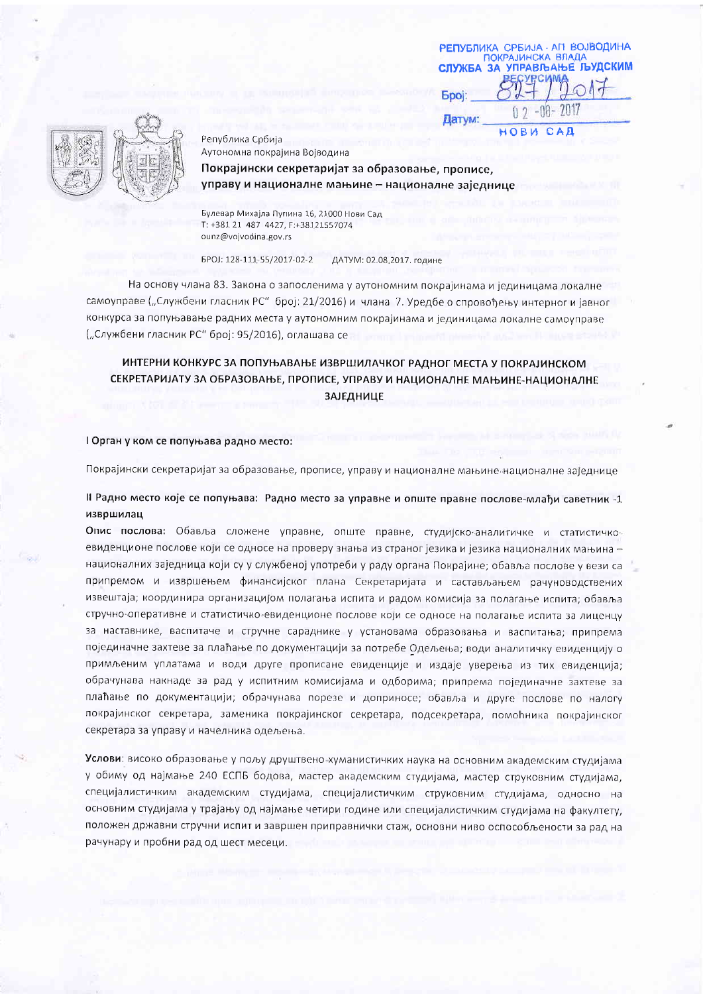РЕПУБЛИКА СРБИЈА - АП ВОЈВОДИНА **ПОКРАЈИНСКА ВЛАДА** СЛУЖБА ЗА УПРАВЉАЊЕ ЉУДСКИМ **Spoj:**  $-00 - 2017$ ft Датум: HOBW **CAD** 



Република Србија Аутономна покрајина Војводина Покрајински секретаријат за образовање, прописе, управу и националне мањине - националне заједнице

Булевар Михајла Пупина 16, 21000 Нови Сад T: +381 21 487 4427, F:+38121557074 ounz@vojvodina.gov.rs

EPOJ: 128-111-55/2017-02-2 ДАТУМ: 02.08.2017. године

На основу члана 83. Закона о запосленима у аутономним покрајинама и јединицама локалне самоуправе ("Службени гласник РС" број: 21/2016) и члана 7. Уредбе о спровођењу интерног и јавног конкурса за попуњавање радних места у аутономним покрајинама и јединицама локалне самоуправе ("Службени гласник РС" број: 95/2016), оглашава се

## ИНТЕРНИ КОНКУРС ЗА ПОПУЊАВАЊЕ ИЗВРШИЛАЧКОГ РАДНОГ МЕСТА У ПОКРАЈИНСКОМ СЕКРЕТАРИЈАТУ ЗА ОБРАЗОВАЊЕ, ПРОПИСЕ, УПРАВУ И НАЦИОНАЛНЕ МАЊИНЕ-НАЦИОНАЛНЕ **ЗАЈЕДНИЦЕ**

#### I Орган у ком се попуњава радно место:

Покрајински секретаријат за образовање, прописе, управу и националне мањине националне заједнице

### Il Радно место које се попуњава: Радно место за управне и опште правне послове-млађи саветник -1 извршилац

Опис послова: Обавља сложене управне, опште правне, студијско-аналитичке и статистичкоевиденционе послове који се односе на проверу знања из страног језика и језика националних мањина националних заједница који су у службеној употреби у раду органа Покрајине; обавља послове у вези са припремом и извршењем финансијског плана Секретаријата и састављањем рачуноводствених извештаја; координира организацијом полагања испита и радом комисија за полагање испита; обавља стручно-оперативне и статистичко-евиденционе послове који се односе на полагање испита за лиценцу за наставнике, васпитаче и стручне сараднике у установама образовања и васпитања; припрема појединачне захтеве за плаћање по документацији за потребе Одељења; води аналитичку евиденцију о примљеним уплатама и води друге прописане евиденције и издаје уверења из тих евиденција; обрачунава накнаде за рад у испитним комисијама и одборима; припрема појединачне захтеве за плаћање по документацији; обрачунава порезе и доприносе; обавља и друге послове по налогу покрајинског секретара, заменика покрајинског секретара, подсекретара, помоћника покрајинског секретара за управу и начелника одељења.

Услови: високо образовање у пољу друштвено-хуманистичких наука на основним академским студијама у обиму од најмање 240 ЕСПБ бодова, мастер академским студијама, мастер струковним студијама, специјалистичким академским студијама, специјалистичким струковним студијама, односно на основним студијама у трајању од најмање четири године или специјалистичким студијама на факултету, положен државни стручни испит и завршен приправнички стаж, основни ниво оспособљености за рад на рачунару и пробни рад од шест месеци.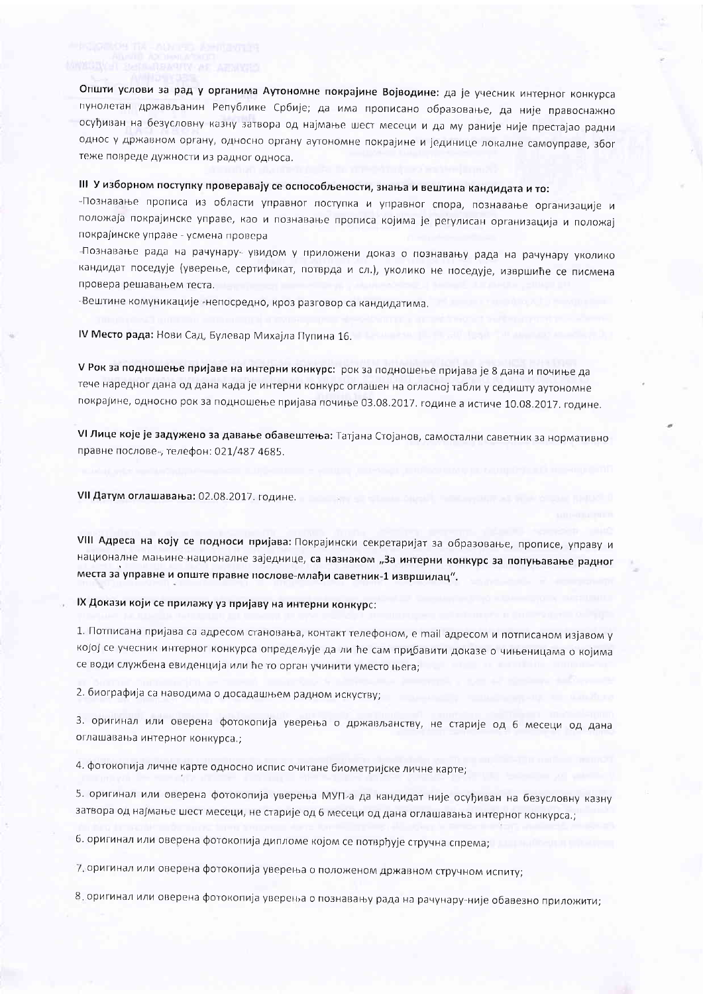Општи услови за рад у органима Аутономне покрајине Војводине: да је учесник интерног конкурса пунолетан држављанин Републике Србије; да има прописано образовање, да није правоснажно осуђиван на безусловну казну затвора од најмање шест месеци и да му раније није престајао радни однос у државном органу, односно органу аутономне покрајине и јединице локалне самоуправе, због теже повреде дужности из радног односа.

## III У изборном поступку проверавају се оспособљености, знања и вештина кандидата и то:

-Познавање прописа из области управног поступка и управног спора, познавање организације и положаја покрајинске управе, као и познавање прописа којима је регулисан организација и положај покрајинске управе - усмена провера

-Познавање рада на рачунару- увидом у приложени доказ о познавању рада на рачунару уколико кандидат поседује (уверење, сертификат, потврда и сл.), уколико не поседује, извршиће се писмена провера решавањем теста.

-Вештине комуникације -непосредно, кроз разговор са кандидатима.

#### IV Место рада: Нови Сад, Булевар Михајла Пупина 16.

V Рок за подношење пријаве на интерни конкурс: рок за подношење пријава је 8 дана и почиње да тече наредног дана од дана када је интерни конкурс оглашен на огласној табли у седишту аутономне покрајине, односно рок за подношење пријава почиње 03.08.2017. године а истиче 10.08.2017. године.

VI Лице које је задужено за давање обавештења: Татјана Стојанов, самостални саветник за нормативно правне послове-, телефон: 021/487 4685.

VII Датум оглашавања: 02.08.2017. године.

VIII Адреса на коју се подноси пријава: Покрајински секретаријат за образовање, прописе, управу и националне мањине-националне заједнице, са назнаком "За интерни конкурс за попуњавање радног места за управне и опште правне послове-млађи саветник-1 извршилац".

#### IX Докази који се прилажу уз пријаву на интерни конкурс:

1. Потписана пријава са адресом становања, контакт телефоном, е mail адресом и потписаном изјавом у којој се учесник интерног конкурса опредељује да ли ће сам прибавити доказе о чињеницама о којима се води службена евиденција или ће то орган учинити уместо њега;

2. биографија са наводима о досадашњем радном искуству;

3. оригинал или оверена фотокопија уверења о држављанству, не старије од 6 месеци од дана оглашавања интерног конкурса.;

4. фотокопија личне карте односно испис очитане биометријске личне карте;

5. оригинал или оверена фотокопија уверења МУП-а да кандидат није осуђиван на безусловну казну затвора од најмање шест месеци, не старије од 6 месеци од дана оглашавања интерног конкурса.;

6. оригинал или оверена фотокопија дипломе којом се потврђује стручна спрема;

7. оригинал или оверена фотокопија уверења о положеном државном стручном испиту;

8. оригинал или оверена фотокопија уверења о познавању рада на рачунару-није обавезно приложити;